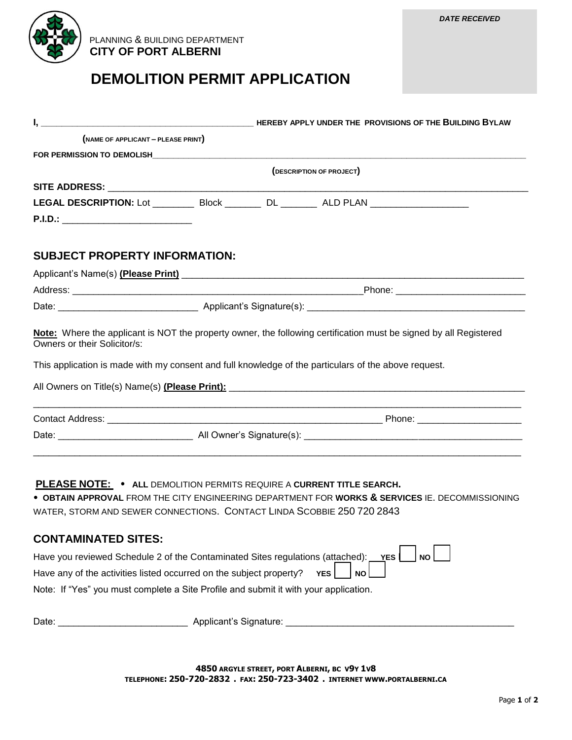

 PLANNING & BUILDING DEPARTMENT  **CITY OF PORT ALBERNI**

## **DEMOLITION PERMIT APPLICATION**

| (NAME OF APPLICANT - PLEASE PRINT)                                                                                                                     |  |  |                                                                                                     |  |  |
|--------------------------------------------------------------------------------------------------------------------------------------------------------|--|--|-----------------------------------------------------------------------------------------------------|--|--|
|                                                                                                                                                        |  |  |                                                                                                     |  |  |
|                                                                                                                                                        |  |  | (DESCRIPTION OF PROJECT)                                                                            |  |  |
|                                                                                                                                                        |  |  |                                                                                                     |  |  |
|                                                                                                                                                        |  |  | LEGAL DESCRIPTION: Lot _____________ Block ___________ DL _________ ALD PLAN ______________________ |  |  |
| P.I.D.: _______________________________                                                                                                                |  |  |                                                                                                     |  |  |
| <b>SUBJECT PROPERTY INFORMATION:</b>                                                                                                                   |  |  |                                                                                                     |  |  |
|                                                                                                                                                        |  |  |                                                                                                     |  |  |
|                                                                                                                                                        |  |  |                                                                                                     |  |  |
|                                                                                                                                                        |  |  |                                                                                                     |  |  |
|                                                                                                                                                        |  |  |                                                                                                     |  |  |
|                                                                                                                                                        |  |  |                                                                                                     |  |  |
|                                                                                                                                                        |  |  |                                                                                                     |  |  |
| <b>PLEASE NOTE: • ALL DEMOLITION PERMITS REQUIRE A CURRENT TITLE SEARCH.</b><br>WATER, STORM AND SEWER CONNECTIONS. CONTACT LINDA SCOBBIE 250 720 2843 |  |  | . OBTAIN APPROVAL FROM THE CITY ENGINEERING DEPARTMENT FOR WORKS & SERVICES IE. DECOMMISSIONING     |  |  |
| <b>CONTAMINATED SITES:</b>                                                                                                                             |  |  |                                                                                                     |  |  |
| Have you reviewed Schedule 2 of the Contaminated Sites regulations (attached):                                                                         |  |  | NO<br>YES <sup>I</sup>                                                                              |  |  |
| Have any of the activities listed occurred on the subject property?                                                                                    |  |  | <b>YES</b><br><b>NO</b>                                                                             |  |  |
| Note: If "Yes" you must complete a Site Profile and submit it with your application.                                                                   |  |  |                                                                                                     |  |  |
|                                                                                                                                                        |  |  |                                                                                                     |  |  |

**4850 ARGYLE STREET, PORT ALBERNI, BC V9Y 1V8 TELEPHONE: 250-720-2832 . FAX: 250-723-3402 . INTERNET WWW.PORTALBERNI.CA**